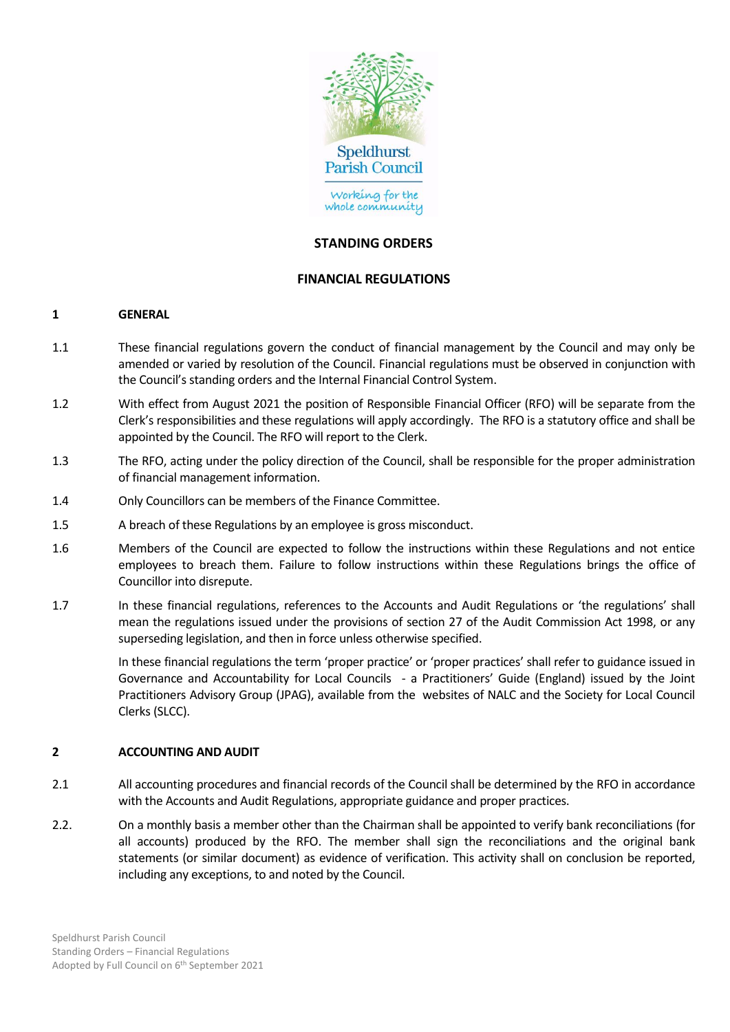

## **STANDING ORDERS**

## **FINANCIAL REGULATIONS**

#### **1 GENERAL**

- 1.1 These financial regulations govern the conduct of financial management by the Council and may only be amended or varied by resolution of the Council. Financial regulations must be observed in conjunction with the Council's standing orders and the Internal Financial Control System.
- 1.2 With effect from August 2021 the position of Responsible Financial Officer (RFO) will be separate from the Clerk's responsibilities and these regulations will apply accordingly. The RFO is a statutory office and shall be appointed by the Council. The RFO will report to the Clerk.
- 1.3 The RFO, acting under the policy direction of the Council, shall be responsible for the proper administration of financial management information.
- 1.4 Only Councillors can be members of the Finance Committee.
- 1.5 A breach of these Regulations by an employee is gross misconduct.
- 1.6 Members of the Council are expected to follow the instructions within these Regulations and not entice employees to breach them. Failure to follow instructions within these Regulations brings the office of Councillor into disrepute.
- 1.7 In these financial regulations, references to the Accounts and Audit Regulations or 'the regulations' shall mean the regulations issued under the provisions of section 27 of the Audit Commission Act 1998, or any superseding legislation, and then in force unless otherwise specified.

In these financial regulations the term 'proper practice' or 'proper practices' shall refer to guidance issued in Governance and Accountability for Local Councils - a Practitioners' Guide (England) issued by the Joint Practitioners Advisory Group (JPAG), available from the websites of NALC and the Society for Local Council Clerks (SLCC).

#### **2 ACCOUNTING AND AUDIT**

- 2.1 All accounting procedures and financial records of the Council shall be determined by the RFO in accordance with the Accounts and Audit Regulations, appropriate guidance and proper practices.
- 2.2. On a monthly basis a member other than the Chairman shall be appointed to verify bank reconciliations (for all accounts) produced by the RFO. The member shall sign the reconciliations and the original bank statements (or similar document) as evidence of verification. This activity shall on conclusion be reported, including any exceptions, to and noted by the Council.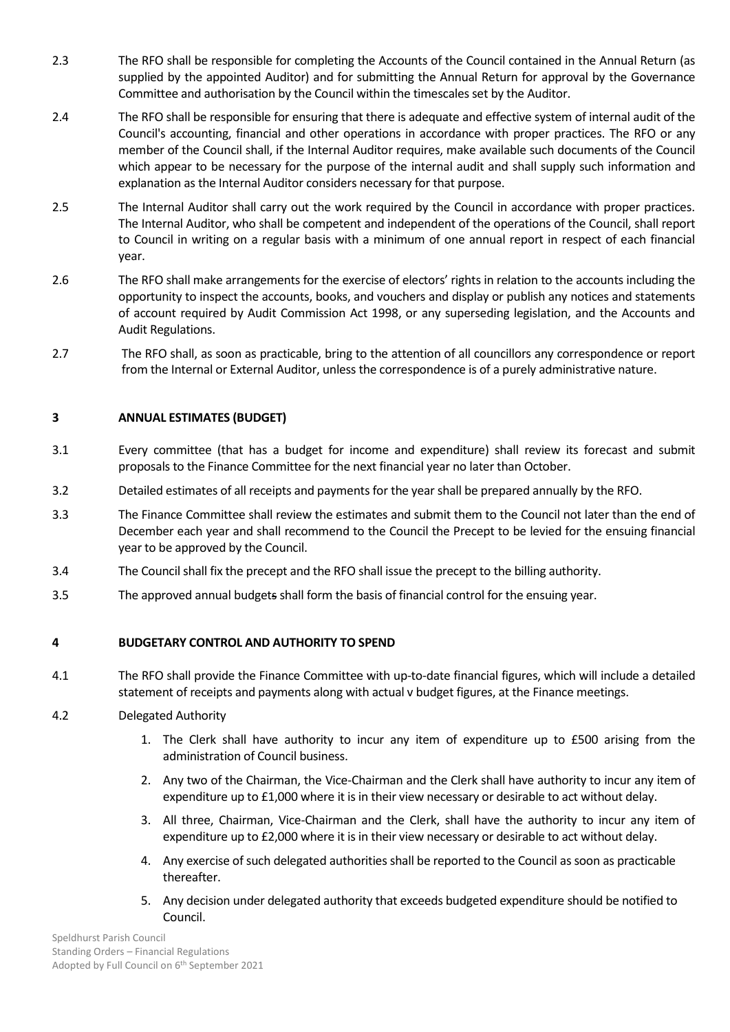- 2.3 The RFO shall be responsible for completing the Accounts of the Council contained in the Annual Return (as supplied by the appointed Auditor) and for submitting the Annual Return for approval by the Governance Committee and authorisation by the Council within the timescales set by the Auditor.
- 2.4 The RFO shall be responsible for ensuring that there is adequate and effective system of internal audit of the Council's accounting, financial and other operations in accordance with proper practices. The RFO or any member of the Council shall, if the Internal Auditor requires, make available such documents of the Council which appear to be necessary for the purpose of the internal audit and shall supply such information and explanation as the Internal Auditor considers necessary for that purpose.
- 2.5 The Internal Auditor shall carry out the work required by the Council in accordance with proper practices. The Internal Auditor, who shall be competent and independent of the operations of the Council, shall report to Council in writing on a regular basis with a minimum of one annual report in respect of each financial year.
- 2.6 The RFO shall make arrangements for the exercise of electors' rights in relation to the accounts including the opportunity to inspect the accounts, books, and vouchers and display or publish any notices and statements of account required by Audit Commission Act 1998, or any superseding legislation, and the Accounts and Audit Regulations.
- 2.7 The RFO shall, as soon as practicable, bring to the attention of all councillors any correspondence or report from the Internal or External Auditor, unless the correspondence is of a purely administrative nature.

# **3 ANNUAL ESTIMATES (BUDGET)**

- 3.1 Every committee (that has a budget for income and expenditure) shall review its forecast and submit proposals to the Finance Committee for the next financial year no later than October.
- 3.2 Detailed estimates of all receipts and payments for the year shall be prepared annually by the RFO.
- 3.3 The Finance Committee shall review the estimates and submit them to the Council not later than the end of December each year and shall recommend to the Council the Precept to be levied for the ensuing financial year to be approved by the Council.
- 3.4 The Councilshall fix the precept and the RFO shall issue the precept to the billing authority.
- 3.5 The approved annual budgets shall form the basis of financial control for the ensuing year.

# **4 BUDGETARY CONTROL AND AUTHORITY TO SPEND**

4.1 The RFO shall provide the Finance Committee with up-to-date financial figures, which will include a detailed statement of receipts and payments along with actual v budget figures, at the Finance meetings.

#### 4.2 Delegated Authority

- 1. The Clerk shall have authority to incur any item of expenditure up to £500 arising from the administration of Council business.
- 2. Any two of the Chairman, the Vice-Chairman and the Clerk shall have authority to incur any item of expenditure up to £1,000 where it is in their view necessary or desirable to act without delay.
- 3. All three, Chairman, Vice-Chairman and the Clerk, shall have the authority to incur any item of expenditure up to £2,000 where it is in their view necessary or desirable to act without delay.
- 4. Any exercise of such delegated authorities shall be reported to the Council as soon as practicable thereafter.
- 5. Any decision under delegated authority that exceeds budgeted expenditure should be notified to Council.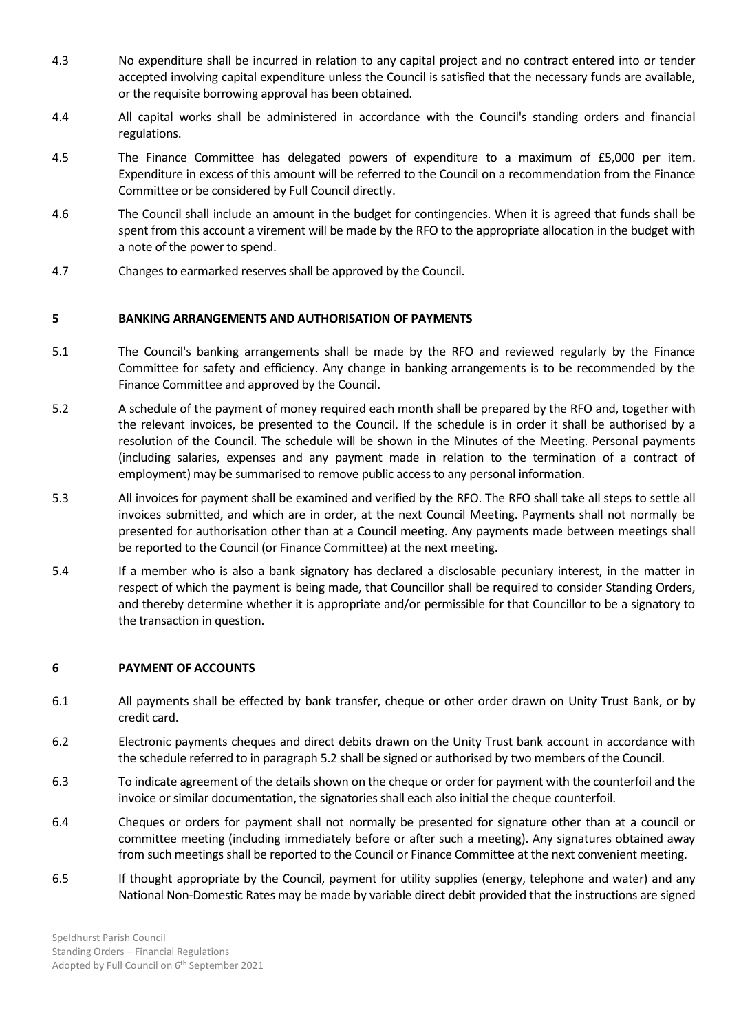- 4.3 No expenditure shall be incurred in relation to any capital project and no contract entered into or tender accepted involving capital expenditure unless the Council is satisfied that the necessary funds are available, or the requisite borrowing approval has been obtained.
- 4.4 All capital works shall be administered in accordance with the Council's standing orders and financial regulations.
- 4.5 The Finance Committee has delegated powers of expenditure to a maximum of £5,000 per item. Expenditure in excess of this amount will be referred to the Council on a recommendation from the Finance Committee or be considered by Full Council directly.
- 4.6 The Council shall include an amount in the budget for contingencies. When it is agreed that funds shall be spent from this account a virement will be made by the RFO to the appropriate allocation in the budget with a note of the power to spend.
- 4.7 Changes to earmarked reserves shall be approved by the Council.

## **5 BANKING ARRANGEMENTS AND AUTHORISATION OF PAYMENTS**

- 5.1 The Council's banking arrangements shall be made by the RFO and reviewed regularly by the Finance Committee for safety and efficiency. Any change in banking arrangements is to be recommended by the Finance Committee and approved by the Council.
- 5.2 A schedule of the payment of money required each month shall be prepared by the RFO and, together with the relevant invoices, be presented to the Council. If the schedule is in order it shall be authorised by a resolution of the Council. The schedule will be shown in the Minutes of the Meeting. Personal payments (including salaries, expenses and any payment made in relation to the termination of a contract of employment) may be summarised to remove public access to any personal information.
- 5.3 All invoices for payment shall be examined and verified by the RFO. The RFO shall take all steps to settle all invoices submitted, and which are in order, at the next Council Meeting. Payments shall not normally be presented for authorisation other than at a Council meeting. Any payments made between meetings shall be reported to the Council (or Finance Committee) at the next meeting.
- 5.4 If a member who is also a bank signatory has declared a disclosable pecuniary interest, in the matter in respect of which the payment is being made, that Councillor shall be required to consider Standing Orders, and thereby determine whether it is appropriate and/or permissible for that Councillor to be a signatory to the transaction in question.

#### **6 PAYMENT OF ACCOUNTS**

- 6.1 All payments shall be effected by bank transfer, cheque or other order drawn on Unity Trust Bank, or by credit card.
- 6.2 Electronic payments cheques and direct debits drawn on the Unity Trust bank account in accordance with the schedule referred to in paragraph 5.2 shall be signed or authorised by two members of the Council.
- 6.3 To indicate agreement of the details shown on the cheque or order for payment with the counterfoil and the invoice or similar documentation, the signatories shall each also initial the cheque counterfoil.
- 6.4 Cheques or orders for payment shall not normally be presented for signature other than at a council or committee meeting (including immediately before or after such a meeting). Any signatures obtained away from such meetings shall be reported to the Council or Finance Committee at the next convenient meeting.
- 6.5 If thought appropriate by the Council, payment for utility supplies (energy, telephone and water) and any National Non-Domestic Rates may be made by variable direct debit provided that the instructions are signed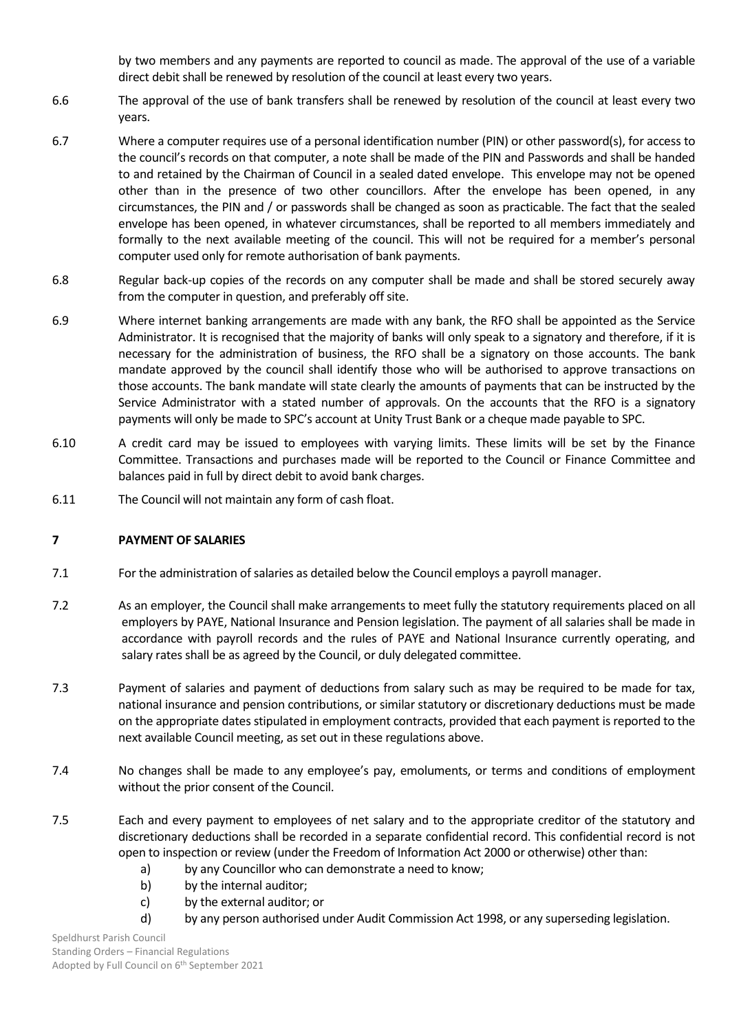by two members and any payments are reported to council as made. The approval of the use of a variable direct debit shall be renewed by resolution of the council at least every two years.

- 6.6 The approval of the use of bank transfers shall be renewed by resolution of the council at least every two years.
- 6.7 Where a computer requires use of a personal identification number (PIN) or other password(s), for access to the council's records on that computer, a note shall be made of the PIN and Passwords and shall be handed to and retained by the Chairman of Council in a sealed dated envelope. This envelope may not be opened other than in the presence of two other councillors. After the envelope has been opened, in any circumstances, the PIN and / or passwords shall be changed as soon as practicable. The fact that the sealed envelope has been opened, in whatever circumstances, shall be reported to all members immediately and formally to the next available meeting of the council. This will not be required for a member's personal computer used only for remote authorisation of bank payments.
- 6.8 Regular back-up copies of the records on any computer shall be made and shall be stored securely away from the computer in question, and preferably off site.
- 6.9 Where internet banking arrangements are made with any bank, the RFO shall be appointed as the Service Administrator. It is recognised that the majority of banks will only speak to a signatory and therefore, if it is necessary for the administration of business, the RFO shall be a signatory on those accounts. The bank mandate approved by the council shall identify those who will be authorised to approve transactions on those accounts. The bank mandate will state clearly the amounts of payments that can be instructed by the Service Administrator with a stated number of approvals. On the accounts that the RFO is a signatory payments will only be made to SPC's account at Unity Trust Bank or a cheque made payable to SPC.
- 6.10 A credit card may be issued to employees with varying limits. These limits will be set by the Finance Committee. Transactions and purchases made will be reported to the Council or Finance Committee and balances paid in full by direct debit to avoid bank charges.
- 6.11 The Council will not maintain any form of cash float.

# **7 PAYMENT OF SALARIES**

- 7.1 For the administration of salaries as detailed below the Council employs a payroll manager.
- 7.2 As an employer, the Council shall make arrangements to meet fully the statutory requirements placed on all employers by PAYE, National Insurance and Pension legislation. The payment of all salaries shall be made in accordance with payroll records and the rules of PAYE and National Insurance currently operating, and salary rates shall be as agreed by the Council, or duly delegated committee.
- 7.3 Payment of salaries and payment of deductions from salary such as may be required to be made for tax, national insurance and pension contributions, or similar statutory or discretionary deductions must be made on the appropriate dates stipulated in employment contracts, provided that each payment is reported to the next available Council meeting, as set out in these regulations above.
- 7.4 No changes shall be made to any employee's pay, emoluments, or terms and conditions of employment without the prior consent of the Council.
- 7.5 Each and every payment to employees of net salary and to the appropriate creditor of the statutory and discretionary deductions shall be recorded in a separate confidential record. This confidential record is not open to inspection or review (under the Freedom of Information Act 2000 or otherwise) other than:
	- a) by any Councillor who can demonstrate a need to know;
	- b) by the internal auditor;
	- c) by the external auditor; or
	- d) by any person authorised under Audit Commission Act 1998, or any superseding legislation.

Speldhurst Parish Council Standing Orders – Financial Regulations Adopted by Full Council on 6<sup>th</sup> September 2021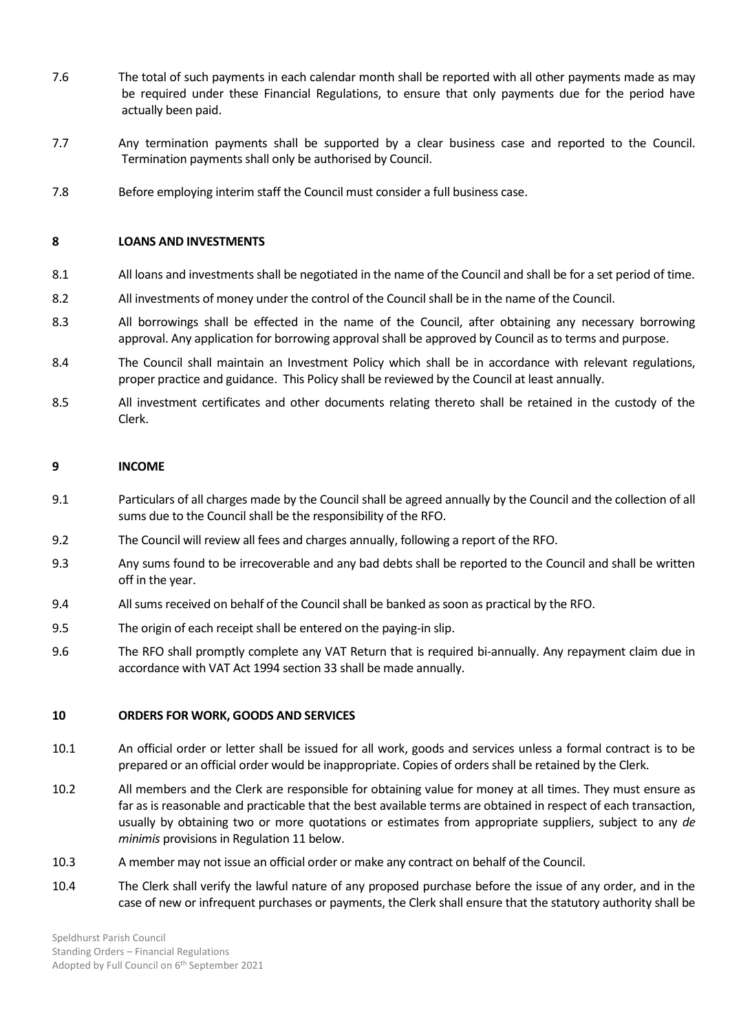- 7.6 The total of such payments in each calendar month shall be reported with all other payments made as may be required under these Financial Regulations, to ensure that only payments due for the period have actually been paid.
- 7.7 Any termination payments shall be supported by a clear business case and reported to the Council. Termination payments shall only be authorised by Council.
- 7.8 Before employing interim staff the Council must consider a full business case.

### **8 LOANS AND INVESTMENTS**

- 8.1 All loans and investments shall be negotiated in the name of the Council and shall be for a set period of time.
- 8.2 All investments of money under the control of the Council shall be in the name of the Council.
- 8.3 All borrowings shall be effected in the name of the Council, after obtaining any necessary borrowing approval. Any application for borrowing approval shall be approved by Council as to terms and purpose.
- 8.4 The Council shall maintain an Investment Policy which shall be in accordance with relevant regulations, proper practice and guidance. This Policy shall be reviewed by the Council at least annually.
- 8.5 All investment certificates and other documents relating thereto shall be retained in the custody of the Clerk.

#### **9 INCOME**

- 9.1 Particulars of all charges made by the Council shall be agreed annually by the Council and the collection of all sums due to the Council shall be the responsibility of the RFO.
- 9.2 The Council will review all fees and charges annually, following a report of the RFO.
- 9.3 Any sums found to be irrecoverable and any bad debts shall be reported to the Council and shall be written off in the year.
- 9.4 All sums received on behalf of the Councilshall be banked as soon as practical by the RFO.
- 9.5 The origin of each receipt shall be entered on the paying-in slip.
- 9.6 The RFO shall promptly complete any VAT Return that is required bi-annually. Any repayment claim due in accordance with VAT Act 1994 section 33 shall be made annually.

#### **10 ORDERS FOR WORK, GOODS AND SERVICES**

- 10.1 An official order or letter shall be issued for all work, goods and services unless a formal contract is to be prepared or an official order would be inappropriate. Copies of orders shall be retained by the Clerk.
- 10.2 All members and the Clerk are responsible for obtaining value for money at all times. They must ensure as far as is reasonable and practicable that the best available terms are obtained in respect of each transaction, usually by obtaining two or more quotations or estimates from appropriate suppliers, subject to any *de minimis* provisions in Regulation 11 below.
- 10.3 A member may not issue an official order or make any contract on behalf of the Council.
- 10.4 The Clerk shall verify the lawful nature of any proposed purchase before the issue of any order, and in the case of new or infrequent purchases or payments, the Clerk shall ensure that the statutory authority shall be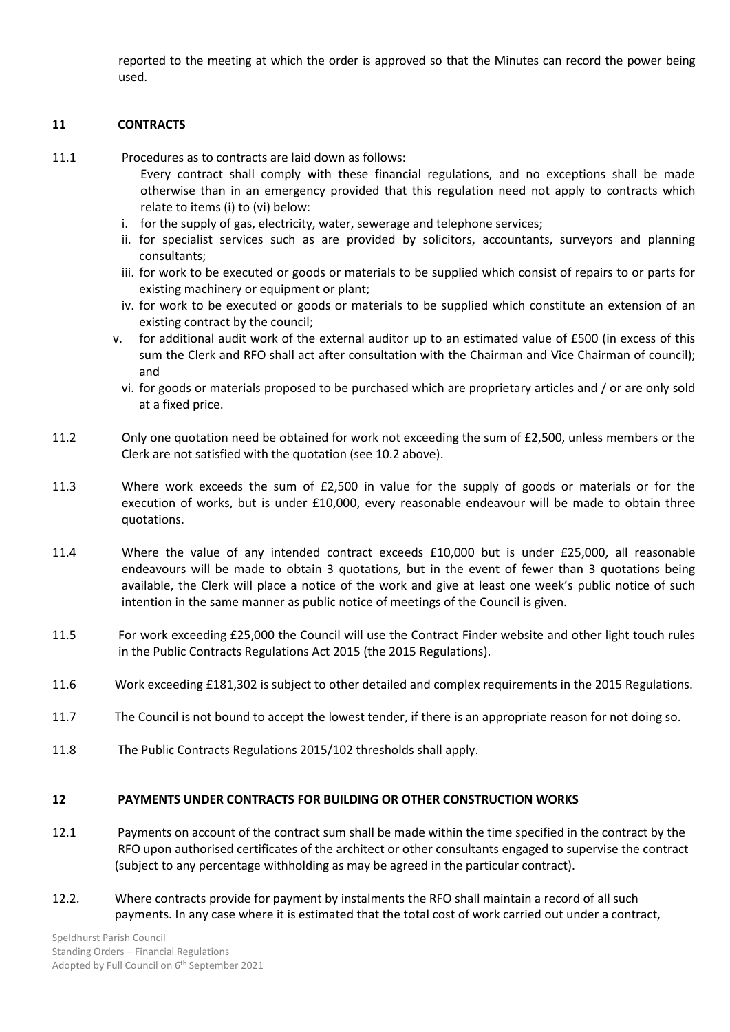reported to the meeting at which the order is approved so that the Minutes can record the power being used.

## **11 CONTRACTS**

- 11.1 Procedures as to contracts are laid down as follows:
	- Every contract shall comply with these financial regulations, and no exceptions shall be made otherwise than in an emergency provided that this regulation need not apply to contracts which relate to items (i) to (vi) below:
	- i. for the supply of gas, electricity, water, sewerage and telephone services;
	- ii. for specialist services such as are provided by solicitors, accountants, surveyors and planning consultants;
	- iii. for work to be executed or goods or materials to be supplied which consist of repairs to or parts for existing machinery or equipment or plant;
	- iv. for work to be executed or goods or materials to be supplied which constitute an extension of an existing contract by the council;
	- v. for additional audit work of the external auditor up to an estimated value of £500 (in excess of this sum the Clerk and RFO shall act after consultation with the Chairman and Vice Chairman of council); and
		- vi. for goods or materials proposed to be purchased which are proprietary articles and / or are only sold at a fixed price.
- 11.2 Only one quotation need be obtained for work not exceeding the sum of £2,500, unless members or the Clerk are not satisfied with the quotation (see 10.2 above).
- 11.3 Where work exceeds the sum of £2,500 in value for the supply of goods or materials or for the execution of works, but is under £10,000, every reasonable endeavour will be made to obtain three quotations.
- 11.4 Where the value of any intended contract exceeds £10,000 but is under £25,000, all reasonable endeavours will be made to obtain 3 quotations, but in the event of fewer than 3 quotations being available, the Clerk will place a notice of the work and give at least one week's public notice of such intention in the same manner as public notice of meetings of the Council is given.
- 11.5 For work exceeding £25,000 the Council will use the Contract Finder website and other light touch rules in the Public Contracts Regulations Act 2015 (the 2015 Regulations).
- 11.6 Work exceeding £181,302 is subject to other detailed and complex requirements in the 2015 Regulations.
- 11.7 The Council is not bound to accept the lowest tender, if there is an appropriate reason for not doing so.
- 11.8 The Public Contracts Regulations 2015/102 thresholds shall apply.

#### **12 PAYMENTS UNDER CONTRACTS FOR BUILDING OR OTHER CONSTRUCTION WORKS**

- 12.1 Payments on account of the contract sum shall be made within the time specified in the contract by the RFO upon authorised certificates of the architect or other consultants engaged to supervise the contract (subject to any percentage withholding as may be agreed in the particular contract).
- 12.2. Where contracts provide for payment by instalments the RFO shall maintain a record of all such payments. In any case where it is estimated that the total cost of work carried out under a contract,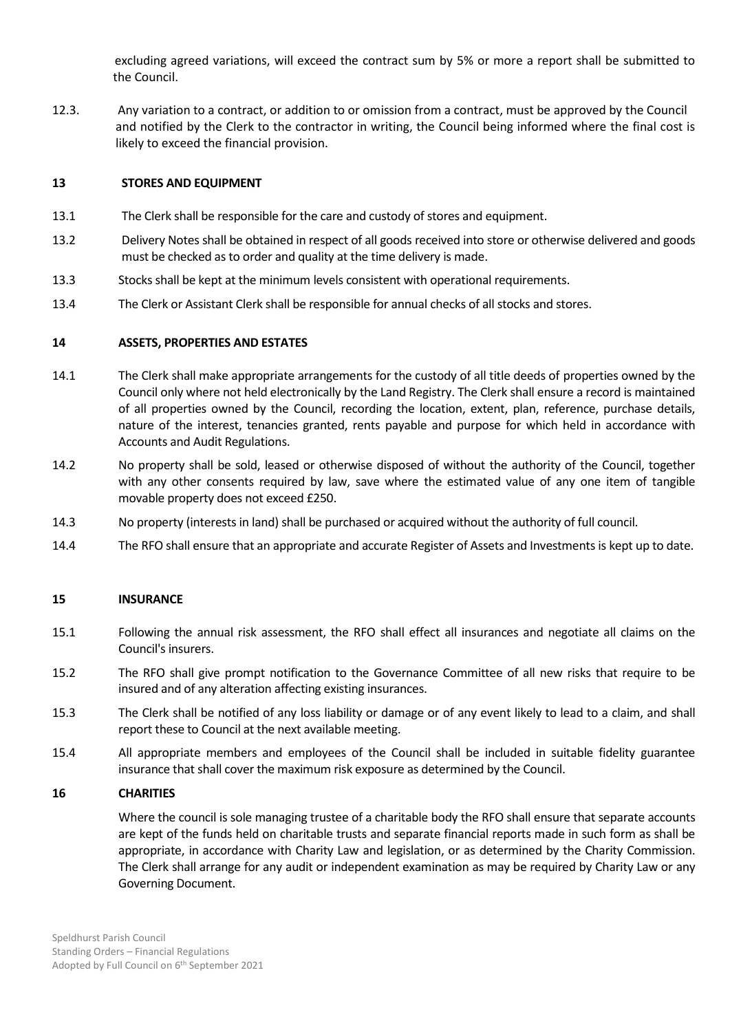excluding agreed variations, will exceed the contract sum by 5% or more a report shall be submitted to the Council.

12.3. Any variation to a contract, or addition to or omission from a contract, must be approved by the Council and notified by the Clerk to the contractor in writing, the Council being informed where the final cost is likely to exceed the financial provision.

## **13 STORES AND EQUIPMENT**

- 13.1 The Clerk shall be responsible for the care and custody of stores and equipment.
- 13.2 Delivery Notes shall be obtained in respect of all goods received into store or otherwise delivered and goods must be checked as to order and quality at the time delivery is made.
- 13.3 Stocks shall be kept at the minimum levels consistent with operational requirements.
- 13.4 The Clerk or Assistant Clerk shall be responsible for annual checks of all stocks and stores.

## **14 ASSETS, PROPERTIES AND ESTATES**

- 14.1 The Clerk shall make appropriate arrangements for the custody of all title deeds of properties owned by the Council only where not held electronically by the Land Registry. The Clerk shall ensure a record is maintained of all properties owned by the Council, recording the location, extent, plan, reference, purchase details, nature of the interest, tenancies granted, rents payable and purpose for which held in accordance with Accounts and Audit Regulations.
- 14.2 No property shall be sold, leased or otherwise disposed of without the authority of the Council, together with any other consents required by law, save where the estimated value of any one item of tangible movable property does not exceed £250.
- 14.3 No property (interests in land) shall be purchased or acquired without the authority of full council.
- 14.4 The RFO shall ensure that an appropriate and accurate Register of Assets and Investments is kept up to date.

#### **15 INSURANCE**

- 15.1 Following the annual risk assessment, the RFO shall effect all insurances and negotiate all claims on the Council's insurers.
- 15.2 The RFO shall give prompt notification to the Governance Committee of all new risks that require to be insured and of any alteration affecting existing insurances.
- 15.3 The Clerk shall be notified of any loss liability or damage or of any event likely to lead to a claim, and shall report these to Council at the next available meeting.
- 15.4 All appropriate members and employees of the Council shall be included in suitable fidelity guarantee insurance that shall cover the maximum risk exposure as determined by the Council.

#### **16 CHARITIES**

Where the council is sole managing trustee of a charitable body the RFO shall ensure that separate accounts are kept of the funds held on charitable trusts and separate financial reports made in such form as shall be appropriate, in accordance with Charity Law and legislation, or as determined by the Charity Commission. The Clerk shall arrange for any audit or independent examination as may be required by Charity Law or any Governing Document.